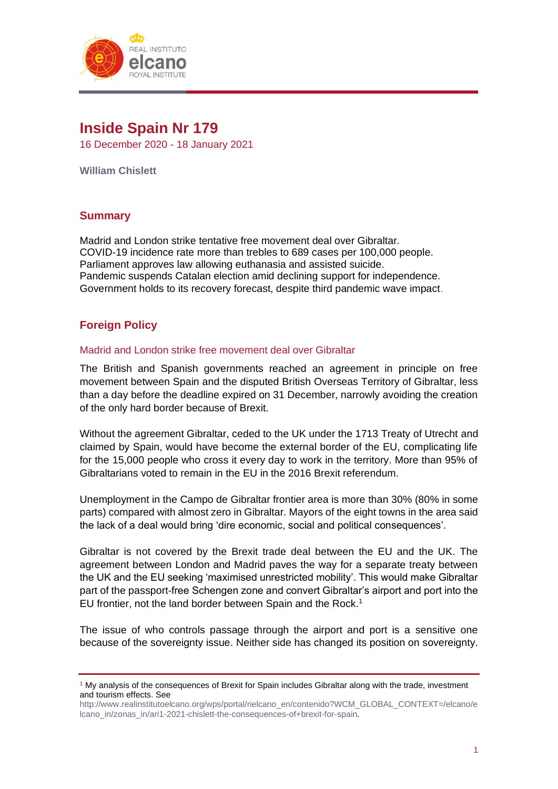

# **Inside Spain Nr 179**

16 December 2020 - 18 January 2021

**William Chislett**

# **Summary**

Madrid and London strike tentative free movement deal over Gibraltar. COVID-19 incidence rate more than trebles to 689 cases per 100,000 people. Parliament approves law allowing euthanasia and assisted suicide. Pandemic suspends Catalan election amid declining support for independence. Government holds to its recovery forecast, despite third pandemic wave impact.

# **Foreign Policy**

# Madrid and London strike free movement deal over Gibraltar

The British and Spanish governments reached an agreement in principle on free movement between Spain and the disputed British Overseas Territory of Gibraltar, less than a day before the deadline expired on 31 December, narrowly avoiding the creation of the only hard border because of Brexit.

Without the agreement Gibraltar, ceded to the UK under the 1713 Treaty of Utrecht and claimed by Spain, would have become the external border of the EU, complicating life for the 15,000 people who cross it every day to work in the territory. More than 95% of Gibraltarians voted to remain in the EU in the 2016 Brexit referendum.

Unemployment in the Campo de Gibraltar frontier area is more than 30% (80% in some parts) compared with almost zero in Gibraltar. Mayors of the eight towns in the area said the lack of a deal would bring 'dire economic, social and political consequences'.

Gibraltar is not covered by the Brexit trade deal between the EU and the UK. The agreement between London and Madrid paves the way for a separate treaty between the UK and the EU seeking 'maximised unrestricted mobility'. This would make Gibraltar part of the passport-free Schengen zone and convert Gibraltar's airport and port into the EU frontier, not the land border between Spain and the Rock.<sup>1</sup>

The issue of who controls passage through the airport and port is a sensitive one because of the sovereignty issue. Neither side has changed its position on sovereignty.

<sup>&</sup>lt;sup>1</sup> My analysis of the consequences of Brexit for Spain includes Gibraltar along with the trade, investment and tourism effects. See

[http://www.realinstitutoelcano.org/wps/portal/rielcano\\_en/contenido?WCM\\_GLOBAL\\_CONTEXT=/elcano/e](http://www.realinstitutoelcano.org/wps/portal/rielcano_en/contenido?WCM_GLOBAL_CONTEXT=/elcano/elcano_in/zonas_in/ari1-2021-chislett-the-consequences-of+brexit-for-spain) [lcano\\_in/zonas\\_in/ari1-2021-chislett-the-consequences-of+brexit-for-spain.](http://www.realinstitutoelcano.org/wps/portal/rielcano_en/contenido?WCM_GLOBAL_CONTEXT=/elcano/elcano_in/zonas_in/ari1-2021-chislett-the-consequences-of+brexit-for-spain)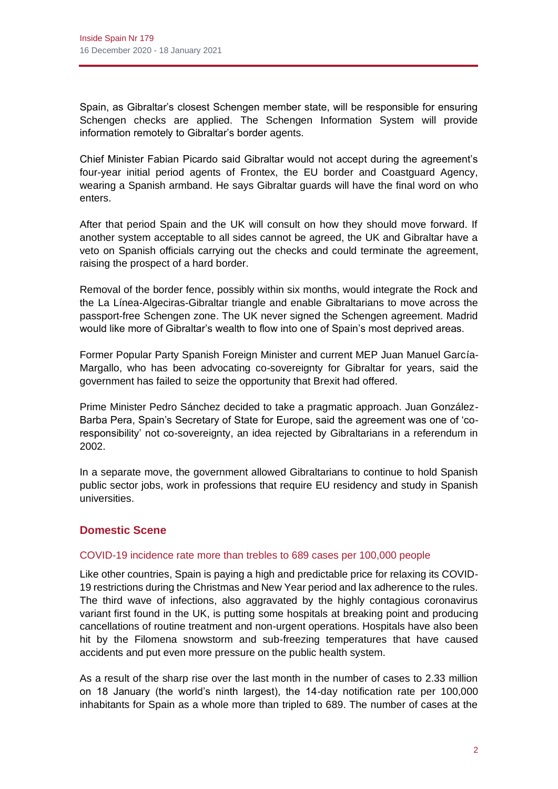Spain, as Gibraltar's closest Schengen member state, will be responsible for ensuring Schengen checks are applied. The Schengen Information System will provide information remotely to Gibraltar's border agents.

Chief Minister Fabian Picardo said Gibraltar would not accept during the agreement's four-year initial period agents of Frontex, the EU border and Coastguard Agency, wearing a Spanish armband. He says Gibraltar guards will have the final word on who enters.

After that period Spain and the UK will consult on how they should move forward. If another system acceptable to all sides cannot be agreed, the UK and Gibraltar have a veto on Spanish officials carrying out the checks and could terminate the agreement, raising the prospect of a hard border.

Removal of the border fence, possibly within six months, would integrate the Rock and the La Línea-Algeciras-Gibraltar triangle and enable Gibraltarians to move across the passport-free Schengen zone. The UK never signed the Schengen agreement. Madrid would like more of Gibraltar's wealth to flow into one of Spain's most deprived areas.

Former Popular Party Spanish Foreign Minister and current MEP Juan Manuel García-Margallo, who has been advocating co-sovereignty for Gibraltar for years, said the government has failed to seize the opportunity that Brexit had offered.

Prime Minister Pedro Sánchez decided to take a pragmatic approach. Juan González-Barba Pera, Spain's Secretary of State for Europe, said the agreement was one of 'coresponsibility' not co-sovereignty, an idea rejected by Gibraltarians in a referendum in 2002.

In a separate move, the government allowed Gibraltarians to continue to hold Spanish public sector jobs, work in professions that require EU residency and study in Spanish universities.

# **Domestic Scene**

# COVID-19 incidence rate more than trebles to 689 cases per 100,000 people

Like other countries, Spain is paying a high and predictable price for relaxing its COVID-19 restrictions during the Christmas and New Year period and lax adherence to the rules. The third wave of infections, also aggravated by the highly contagious coronavirus variant first found in the UK, is putting some hospitals at breaking point and producing cancellations of routine treatment and non-urgent operations. Hospitals have also been hit by the Filomena snowstorm and sub-freezing temperatures that have caused accidents and put even more pressure on the public health system.

As a result of the sharp rise over the last month in the number of cases to 2.33 million on 18 January (the world's ninth largest), the 14-day notification rate per 100,000 inhabitants for Spain as a whole more than tripled to 689. The number of cases at the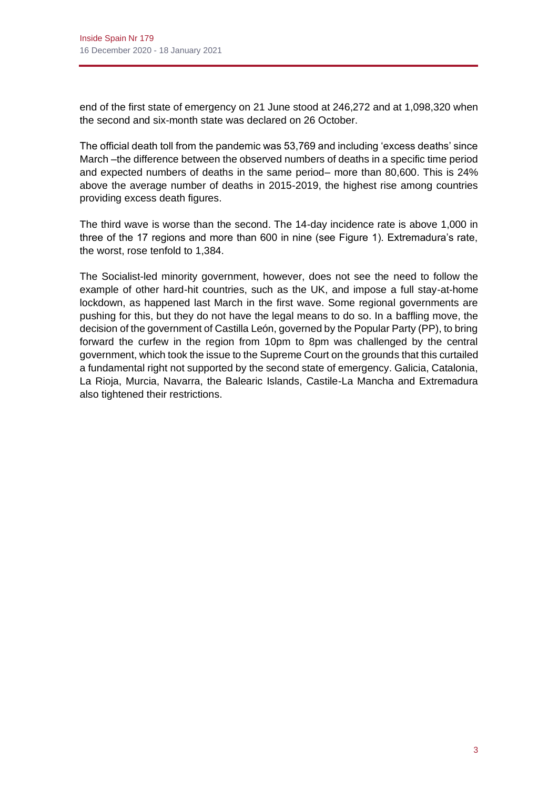end of the first state of emergency on 21 June stood at 246,272 and at 1,098,320 when the second and six-month state was declared on 26 October.

The official death toll from the pandemic was 53,769 and including 'excess deaths' since March –the difference between the observed numbers of deaths in a specific time period and expected numbers of deaths in the same period– more than 80,600. This is 24% above the average number of deaths in 2015-2019, the highest rise among countries providing excess death figures.

The third wave is worse than the second. The 14-day incidence rate is above 1,000 in three of the 17 regions and more than 600 in nine (see Figure 1). Extremadura's rate, the worst, rose tenfold to 1,384.

The Socialist-led minority government, however, does not see the need to follow the example of other hard-hit countries, such as the UK, and impose a full stay-at-home lockdown, as happened last March in the first wave. Some regional governments are pushing for this, but they do not have the legal means to do so. In a baffling move, the decision of the government of Castilla León, governed by the Popular Party (PP), to bring forward the curfew in the region from 10pm to 8pm was challenged by the central government, which took the issue to the Supreme Court on the grounds that this curtailed a fundamental right not supported by the second state of emergency. Galicia, Catalonia, La Rioja, Murcia, Navarra, the Balearic Islands, Castile-La Mancha and Extremadura also tightened their restrictions.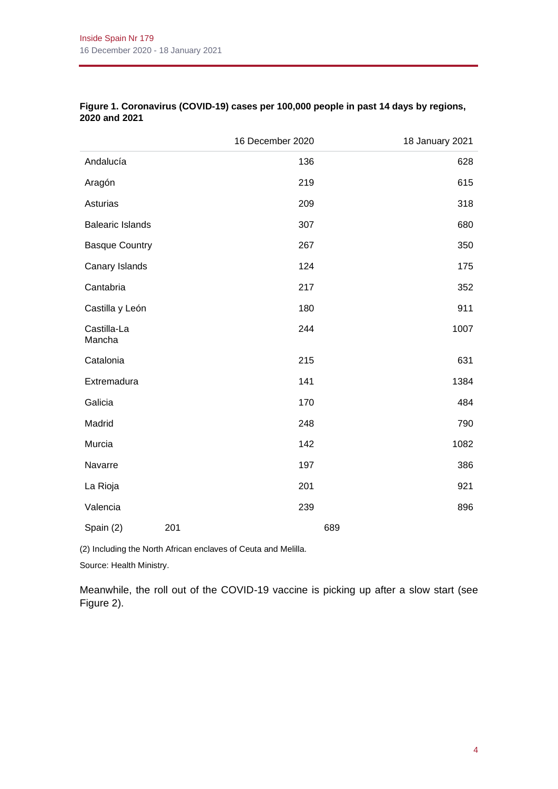|                         |     | 16 December 2020 |     | 18 January 2021 |
|-------------------------|-----|------------------|-----|-----------------|
| Andalucía               |     | 136              |     | 628             |
| Aragón                  |     | 219              |     | 615             |
| Asturias                |     | 209              |     | 318             |
| <b>Balearic Islands</b> |     | 307              |     | 680             |
| <b>Basque Country</b>   |     | 267              |     | 350             |
| Canary Islands          |     | 124              |     | 175             |
| Cantabria               |     | 217              |     | 352             |
| Castilla y León         |     | 180              |     | 911             |
| Castilla-La<br>Mancha   |     | 244              |     | 1007            |
| Catalonia               |     | 215              |     | 631             |
| Extremadura             |     | 141              |     | 1384            |
| Galicia                 |     | 170              |     | 484             |
| Madrid                  |     | 248              |     | 790             |
| Murcia                  |     | 142              |     | 1082            |
| Navarre                 |     | 197              |     | 386             |
| La Rioja                |     | 201              |     | 921             |
| Valencia                |     | 239              |     | 896             |
| Spain (2)               | 201 |                  | 689 |                 |

# **Figure 1. Coronavirus (COVID-19) cases per 100,000 people in past 14 days by regions, 2020 and 2021**

(2) Including the North African enclaves of Ceuta and Melilla.

Source: Health Ministry.

Meanwhile, the roll out of the COVID-19 vaccine is picking up after a slow start (see Figure 2).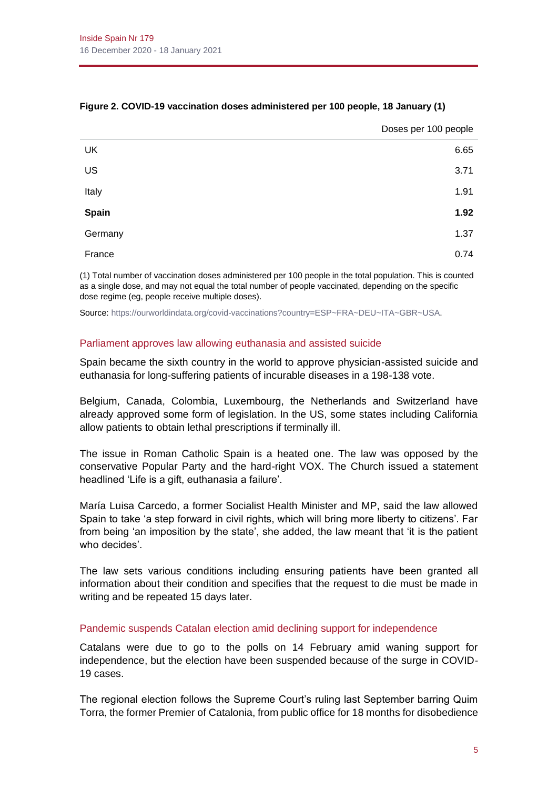|         | Doses per 100 people |
|---------|----------------------|
| UK      | 6.65                 |
| US      | 3.71                 |
| Italy   | 1.91                 |
| Spain   | 1.92                 |
| Germany | 1.37                 |
| France  | 0.74                 |

## **Figure 2. COVID-19 vaccination doses administered per 100 people, 18 January (1)**

(1) Total number of vaccination doses administered per 100 people in the total population. This is counted as a single dose, and may not equal the total number of people vaccinated, depending on the specific dose regime (eg, people receive multiple doses).

Source[: https://ourworldindata.org/covid-vaccinations?country=ESP~FRA~DEU~ITA~GBR~USA.](https://ourworldindata.org/covid-vaccinations?country=ESP~FRA~DEU~ITA~GBR~USA)

#### Parliament approves law allowing euthanasia and assisted suicide

Spain became the sixth country in the world to approve physician-assisted suicide and euthanasia for long-suffering patients of incurable diseases in a 198-138 vote.

Belgium, Canada, Colombia, Luxembourg, the Netherlands and Switzerland have already approved some form of legislation. In the US, some states including California allow patients to obtain lethal prescriptions if terminally ill.

The issue in Roman Catholic Spain is a heated one. The law was opposed by the conservative Popular Party and the hard-right VOX. The Church issued a statement headlined 'Life is a gift, euthanasia a failure'.

María Luisa Carcedo, a former Socialist Health Minister and MP, said the law allowed Spain to take 'a step forward in civil rights, which will bring more liberty to citizens'. Far from being 'an imposition by the state', she added, the law meant that 'it is the patient who decides'.

The law sets various conditions including ensuring patients have been granted all information about their condition and specifies that the request to die must be made in writing and be repeated 15 days later.

#### Pandemic suspends Catalan election amid declining support for independence

Catalans were due to go to the polls on 14 February amid waning support for independence, but the election have been suspended because of the surge in COVID-19 cases.

The regional election follows the Supreme Court's ruling last September barring Quim Torra, the former Premier of Catalonia, from public office for 18 months for disobedience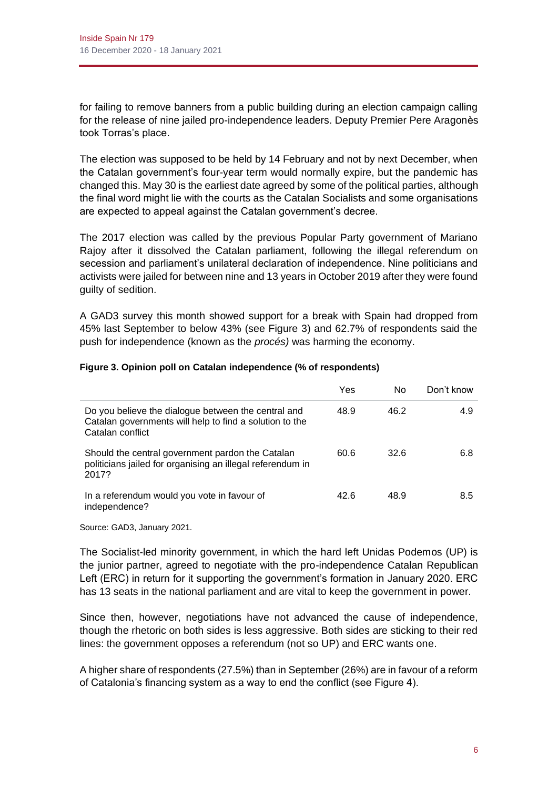for failing to remove banners from a public building during an election campaign calling for the release of nine jailed pro-independence leaders. Deputy Premier Pere Aragonès took Torras's place.

The election was supposed to be held by 14 February and not by next December, when the Catalan government's four-year term would normally expire, but the pandemic has changed this. May 30 is the earliest date agreed by some of the political parties, although the final word might lie with the courts as the Catalan Socialists and some organisations are expected to appeal against the Catalan government's decree.

The 2017 election was called by the previous Popular Party government of Mariano Rajoy after it dissolved the Catalan parliament, following the illegal referendum on secession and parliament's unilateral declaration of independence. Nine politicians and activists were jailed for between nine and 13 years in October 2019 after they were found guilty of sedition.

A GAD3 survey this month showed support for a break with Spain had dropped from 45% last September to below 43% (see Figure 3) and 62.7% of respondents said the push for independence (known as the *procés)* was harming the economy.

|                                                                                                                                    | Yes  | No   | Don't know |
|------------------------------------------------------------------------------------------------------------------------------------|------|------|------------|
| Do you believe the dialogue between the central and<br>Catalan governments will help to find a solution to the<br>Catalan conflict | 48.9 | 46.2 | 4.9        |
| Should the central government pardon the Catalan<br>politicians jailed for organising an illegal referendum in<br>2017?            | 60.6 | 32.6 | 6.8        |
| In a referendum would you vote in favour of<br>independence?                                                                       | 42.6 | 48.9 | 8.5        |

#### **Figure 3. Opinion poll on Catalan independence (% of respondents)**

Source: GAD3, January 2021.

The Socialist-led minority government, in which the hard left Unidas Podemos (UP) is the junior partner, agreed to negotiate with the pro-independence Catalan Republican Left (ERC) in return for it supporting the government's formation in January 2020. ERC has 13 seats in the national parliament and are vital to keep the government in power.

Since then, however, negotiations have not advanced the cause of independence, though the rhetoric on both sides is less aggressive. Both sides are sticking to their red lines: the government opposes a referendum (not so UP) and ERC wants one.

A higher share of respondents (27.5%) than in September (26%) are in favour of a reform of Catalonia's financing system as a way to end the conflict (see Figure 4).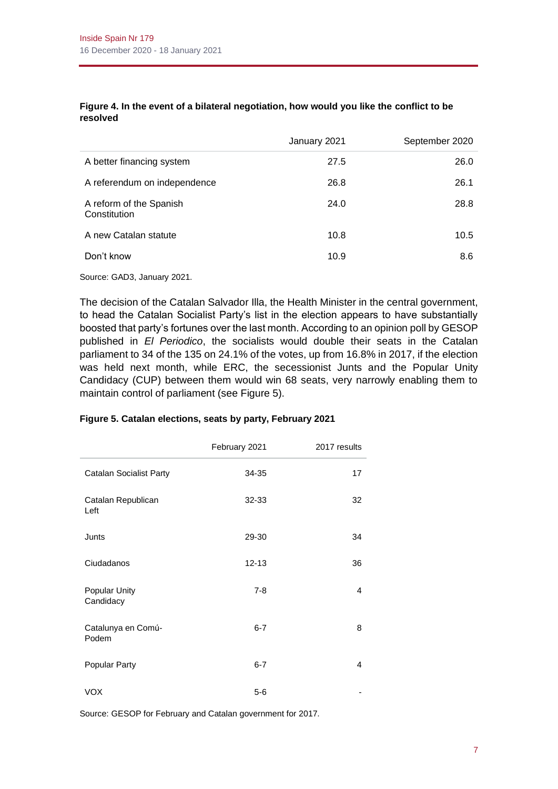|                                         | January 2021 | September 2020 |
|-----------------------------------------|--------------|----------------|
| A better financing system               | 27.5         | 26.0           |
| A referendum on independence            | 26.8         | 26.1           |
| A reform of the Spanish<br>Constitution | 24.0         | 28.8           |
| A new Catalan statute                   | 10.8         | 10.5           |
| Don't know                              | 10.9         | 8.6            |

#### **Figure 4. In the event of a bilateral negotiation, how would you like the conflict to be resolved**

Source: GAD3, January 2021.

The decision of the Catalan Salvador Illa, the Health Minister in the central government, to head the Catalan Socialist Party's list in the election appears to have substantially boosted that party's fortunes over the last month. According to an opinion poll by GESOP published in *El Periodico*, the socialists would double their seats in the Catalan parliament to 34 of the 135 on 24.1% of the votes, up from 16.8% in 2017, if the election was held next month, while ERC, the secessionist Junts and the Popular Unity Candidacy (CUP) between them would win 68 seats, very narrowly enabling them to maintain control of parliament (see Figure 5).

|                                | February 2021 | 2017 results |
|--------------------------------|---------------|--------------|
| <b>Catalan Socialist Party</b> | 34-35         | 17           |
| Catalan Republican<br>Left     | 32-33         | 32           |
| Junts                          | 29-30         | 34           |
| Ciudadanos                     | $12 - 13$     | 36           |
| Popular Unity<br>Candidacy     | $7 - 8$       | 4            |
| Catalunya en Comú-<br>Podem    | $6 - 7$       | 8            |
| Popular Party                  | $6 - 7$       | 4            |
| VOX                            | $5-6$         |              |

#### **Figure 5. Catalan elections, seats by party, February 2021**

Source: GESOP for February and Catalan government for 2017.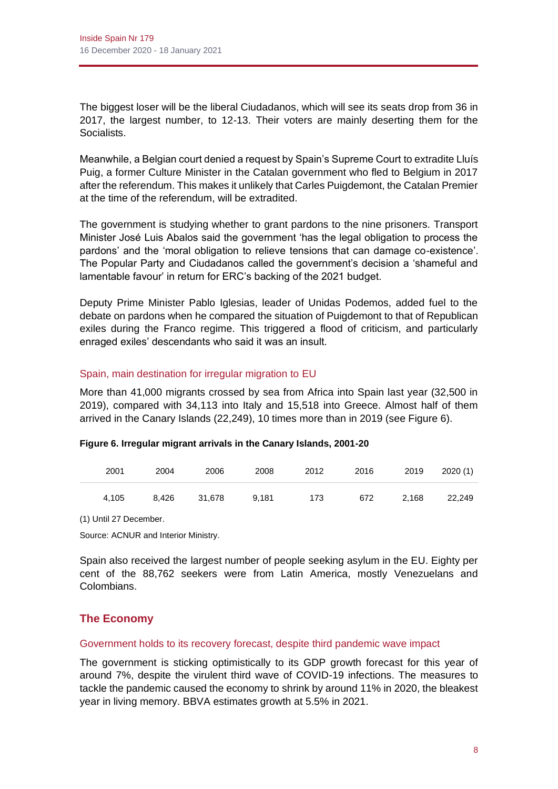The biggest loser will be the liberal Ciudadanos, which will see its seats drop from 36 in 2017, the largest number, to 12-13. Their voters are mainly deserting them for the Socialists.

Meanwhile, a Belgian court denied a request by Spain's Supreme Court to extradite Lluís Puig, a former Culture Minister in the Catalan government who fled to Belgium in 2017 after the referendum. This makes it unlikely that Carles Puigdemont, the Catalan Premier at the time of the referendum, will be extradited.

The government is studying whether to grant pardons to the nine prisoners. Transport Minister José Luis Abalos said the government 'has the legal obligation to process the pardons' and the 'moral obligation to relieve tensions that can damage co-existence'. The Popular Party and Ciudadanos called the government's decision a 'shameful and lamentable favour' in return for ERC's backing of the 2021 budget.

Deputy Prime Minister Pablo Iglesias, leader of Unidas Podemos, added fuel to the debate on pardons when he compared the situation of Puigdemont to that of Republican exiles during the Franco regime. This triggered a flood of criticism, and particularly enraged exiles' descendants who said it was an insult.

# Spain, main destination for irregular migration to EU

More than 41,000 migrants crossed by sea from Africa into Spain last year (32,500 in 2019), compared with 34,113 into Italy and 15,518 into Greece. Almost half of them arrived in the Canary Islands (22,249), 10 times more than in 2019 (see Figure 6).

# **Figure 6. Irregular migrant arrivals in the Canary Islands, 2001-20**

| 2001  | 2004  | 2006   | 2008  | 2012 | 2016 | 2019  | 2020(1) |
|-------|-------|--------|-------|------|------|-------|---------|
| 4.105 | 8.426 | 31.678 | 9.181 | 173  | 672  | 2.168 | 22.249  |

(1) Until 27 December.

Source: ACNUR and Interior Ministry.

Spain also received the largest number of people seeking asylum in the EU. Eighty per cent of the 88,762 seekers were from Latin America, mostly Venezuelans and Colombians.

# **The Economy**

# Government holds to its recovery forecast, despite third pandemic wave impact

The government is sticking optimistically to its GDP growth forecast for this year of around 7%, despite the virulent third wave of COVID-19 infections. The measures to tackle the pandemic caused the economy to shrink by around 11% in 2020, the bleakest year in living memory. BBVA estimates growth at 5.5% in 2021.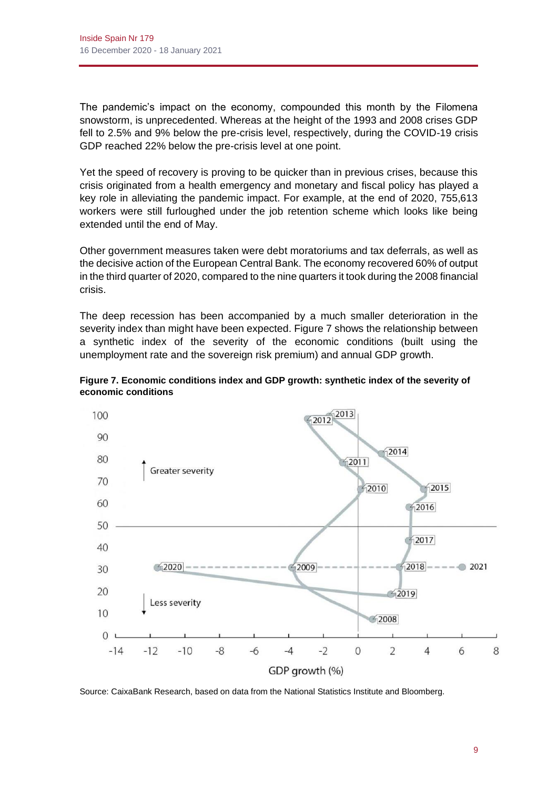The pandemic's impact on the economy, compounded this month by the Filomena snowstorm, is unprecedented. Whereas at the height of the 1993 and 2008 crises GDP fell to 2.5% and 9% below the pre-crisis level, respectively, during the COVID-19 crisis GDP reached 22% below the pre-crisis level at one point.

Yet the speed of recovery is proving to be quicker than in previous crises, because this crisis originated from a health emergency and monetary and fiscal policy has played a key role in alleviating the pandemic impact. For example, at the end of 2020, 755,613 workers were still furloughed under the job retention scheme which looks like being extended until the end of May.

Other government measures taken were debt moratoriums and tax deferrals, as well as the decisive action of the European Central Bank. The economy recovered 60% of output in the third quarter of 2020, compared to the nine quarters it took during the 2008 financial crisis.

The deep recession has been accompanied by a much smaller deterioration in the severity index than might have been expected. Figure 7 shows the relationship between a synthetic index of the severity of the economic conditions (built using the unemployment rate and the sovereign risk premium) and annual GDP growth.





Source: CaixaBank Research, based on data from the National Statistics Institute and Bloomberg.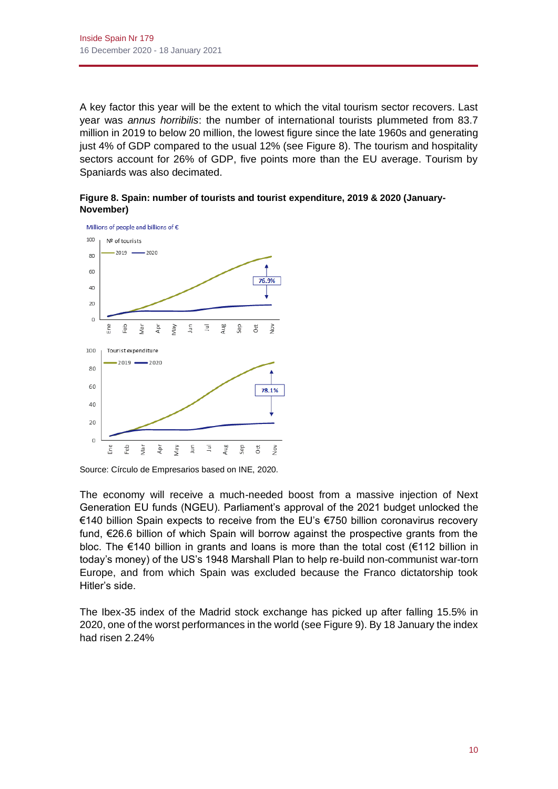A key factor this year will be the extent to which the vital tourism sector recovers. Last year was *annus horribilis*: the number of international tourists plummeted from 83.7 million in 2019 to below 20 million, the lowest figure since the late 1960s and generating just 4% of GDP compared to the usual 12% (see Figure 8). The tourism and hospitality sectors account for 26% of GDP, five points more than the EU average. Tourism by Spaniards was also decimated.

**Figure 8. Spain: number of tourists and tourist expenditure, 2019 & 2020 (January-November)**



Source: Círculo de Empresarios based on INE, 2020.

The economy will receive a much-needed boost from a massive injection of Next Generation EU funds (NGEU). Parliament's approval of the 2021 budget unlocked the €140 billion Spain expects to receive from the EU's €750 billion coronavirus recovery fund, €26.6 billion of which Spain will borrow against the prospective grants from the bloc. The €140 billion in grants and loans is more than the total cost (€112 billion in today's money) of the US's 1948 Marshall Plan to help re-build non-communist war-torn Europe, and from which Spain was excluded because the Franco dictatorship took Hitler's side.

The Ibex-35 index of the Madrid stock exchange has picked up after falling 15.5% in 2020, one of the worst performances in the world (see Figure 9). By 18 January the index had risen 2.24%